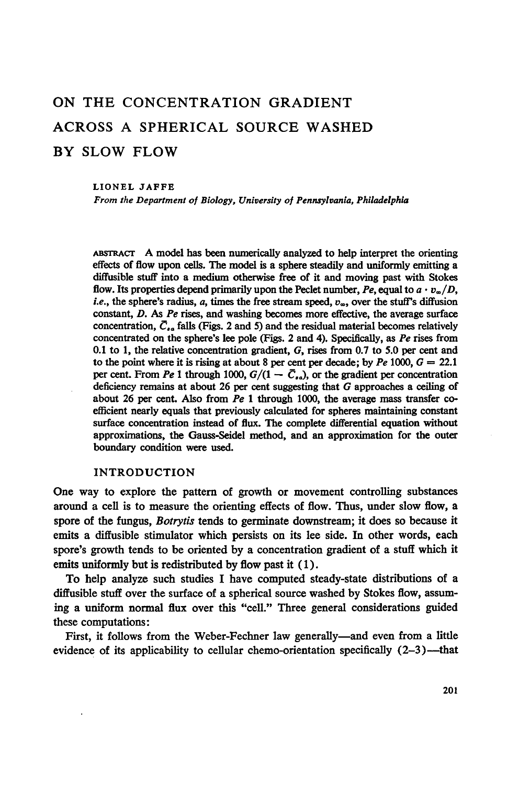# ON THE CONCENTRATION GRADIENT ACROSS A SPHERICAL SOURCE WASHED BY SLOW FLOW

#### LIONEL JAFFE

From the Department of Biology, University of Pennsylvania, Philadelphia

ABssRAcr A model has been numerically analyzed to help interpret the orienting effects of flow upon cells. The model is a sphere steadily and uniformly emitting a diffusible stuff into <sup>a</sup> medium otherwise free of it and moving past with Stokes flow. Its properties depend primarily upon the Peclet number, Pe, equal to  $a \cdot v_{\infty}/D$ , *i.e.*, the sphere's radius, a, times the free stream speed,  $v_{\infty}$ , over the stuff's diffusion constant, D. As Pe rises, and washing becomes more effective, the average surface concentration,  $\bar{C}_{a}$  falls (Figs. 2 and 5) and the residual material becomes relatively concentrated on the sphere's lee pole (Figs. 2 and 4). Specifically, as Pe rises from 0.1 to 1, the relative concentration gradient, G, rises from 0.7 to 5.0 per cent and to the point where it is rising at about 8 per cent per decade; by  $Pe$  1000,  $G = 22.1$ per cent. From Pe 1 through 1000,  $G/(1 - \bar{C}_{sd})$ , or the gradient per concentration deficiency remains at about 26 per cent suggesting that G approaches a ceiling of about 26 per cent. Also from  $Pe$  1 through 1000, the average mass transfer coefficient nearly equals that previously calculated for spheres maintaining constant surface concentration instead of flux. The complete differential equation without approximations, the Gauss-Seidel method, and an approximation for the outer boundary condition were used.

# INTRODUCTION

One way to explore the pattern of growth or movement controlling substances around a cell is to measure the orienting effects of flow. Thus, under slow flow, a spore of the fungus, *Botrytis* tends to germinate downstream; it does so because it emits a diffusible stimulator which persists on its lee side. In other words, each spore's growth tends to be oriented by a concentration gradient of a stuff which it emits uniformly but is redistributed by flow past it  $(1)$ .

To help analyze such studies <sup>I</sup> have computed steady-state distributions of a diffusible stuff over the surface of a spherical source washed by Stokes flow, assuming a uniform normal flux over this "cell." Three general considerations guided these computations:

First, it follows from the Weber-Fechner law generally—and even from a little evidence of its applicability to cellular chemo-orientation specifically  $(2-3)$ —that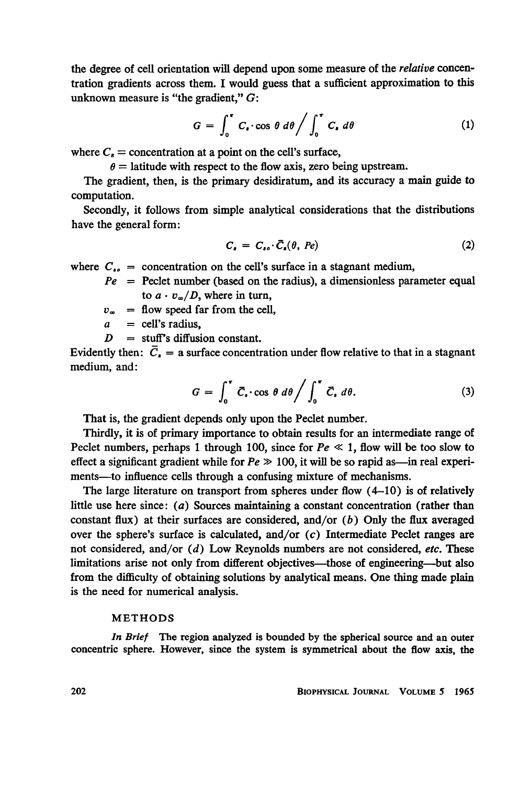the degree of cell orientation will depend upon some measure of the relative concentration gradients across them. I would guess that a sufficient approximation to this unknown measure is "the gradient,"  $G$ :

$$
G = \int_0^{\tau} C_{\epsilon} \cdot \cos \theta \, d\theta / \int_0^{\tau} C_{\epsilon} \, d\theta \tag{1}
$$

where  $C_8$  = concentration at a point on the cell's surface,

 $\theta$  = latitude with respect to the flow axis, zero being upstream.

The gradient, then, is the primary desidiratum, and its accuracy a main guide to computation.

Secondly, it follows from simple analytical considerations that the distributions have the general form:

$$
C_{\bullet} = C_{\bullet \bullet} \cdot \bar{C}_{\bullet}(\theta, \; Pe) \tag{2}
$$

where  $C_{i_0}$  = concentration on the cell's surface in a stagnant medium,

 $Pe$  = Peclet number (based on the radius), a dimensionless parameter equal to  $a \cdot v_{\infty}/D$ , where in turn,

- $v_{\infty}$  = flow speed far from the cell,
- $a =$  cell's radius.

 $D = \text{stuff's diffusion constant.}$ 

Evidently then:  $\bar{C}_i$  = a surface concentration under flow relative to that in a stagnant medium, and:

$$
G = \int_0^{\tau} \bar{C}_\bullet \cos \theta \, d\theta \bigg/ \int_0^{\tau} \bar{C}_\bullet \, d\theta. \tag{3}
$$

That is, the gradient depends only upon the Peclet number.

Thirdly, it is of primary importance to obtain results for an intermediate range of Peclet numbers, perhaps 1 through 100, since for  $Pe \ll 1$ , flow will be too slow to effect a significant gradient while for  $Pe \gg 100$ , it will be so rapid as—in real experiments—to influence cells through a confusing mixture of mechanisms.

The large literature on transport from spheres under flow  $(4-10)$  is of relatively little use here since:  $(a)$  Sources maintaining a constant concentration (rather than constant flux) at their surfaces are considered, and/or  $(b)$  Only the flux averaged over the sphere's surface is calculated, and/or  $(c)$  Intermediate Peclet ranges are not considered, and/or  $(d)$  Low Reynolds numbers are not considered, etc. These limitations arise not only from different objectives-those of engineering-but also from the difficulty of obtaining solutions by analytical means. One thing made plain is the need for numerical analysis.

# METHODS

In Brief The region analyzed is bounded by the spherical source and an outer concentric sphere. However, since the system is symmetrical about the flow axis, the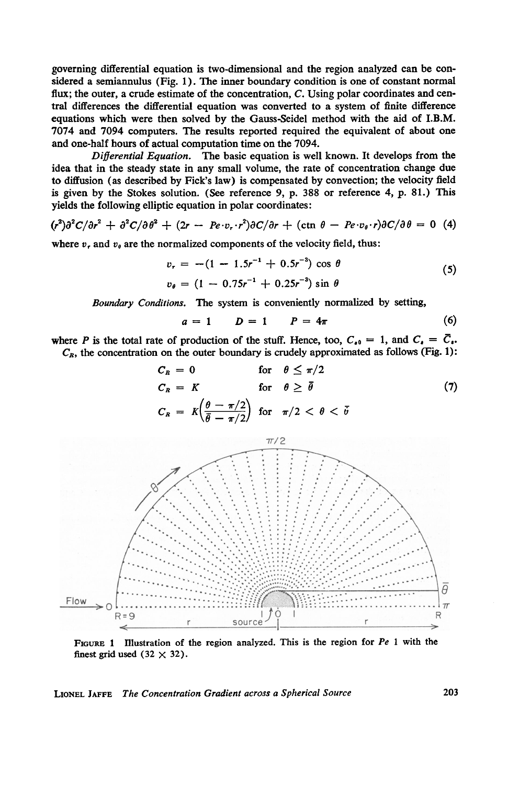governing differential equation is two-dimensional and the region analyzed can be considered a semiannulus (Fig. 1). The inner boundary condition is one of constant normal flux; the outer, a crude estimate of the concentration, C. Using polar coordinates and central differences the differential equation was converted to a system of finite difference equations which were then solved by the Gauss-Seidel method with the aid of I.B.M. 7074 and 7094 computers. The results reported required the equivalent of about one and one-half hours of actual computation time on the 7094.

Differential Equation. The basic equation is well known. It develops from the idea that in the steady state in any small volume, the rate of concentration change due to diffusion (as described by Fick's law) is compensated by convection; the velocity field is given by the Stokes solution. (See reference 9, p. 388 or reference 4, p. 81.) This yields the following elliptic equation in polar coordinates:

$$
(r^2)\partial^2 C/\partial r^2 + \partial^2 C/\partial \theta^2 + (2r - Pe \cdot v_r \cdot r^2)\partial C/\partial r + (\text{ctn } \theta - Pe \cdot v_\theta \cdot r)\partial C/\partial \theta = 0
$$
 (4)

where  $v_r$  and  $v_\theta$  are the normalized components of the velocity field, thus:

$$
v_r = -(1 - 1.5r^{-1} + 0.5r^{-3}) \cos \theta
$$
  
\n
$$
v_{\theta} = (1 - 0.75r^{-1} + 0.25r^{-3}) \sin \theta
$$
 (5)

Boundary Conditions. The system is conveniently normalized by setting,

$$
a = 1 \qquad D = 1 \qquad P = 4\pi \tag{6}
$$

where P is the total rate of production of the stuff. Hence, too,  $C_{0} = 1$ , and  $C_{1} = \overline{C}_{1}$ .  $C_R$ , the concentration on the outer boundary is crudely approximated as follows (Fig. 1):

$$
C_R = 0 \qquad \text{for} \quad \theta \le \pi/2
$$
  
\n
$$
C_R = K \qquad \text{for} \quad \theta \ge \bar{\theta} \qquad (7)
$$
  
\n
$$
C_R = K \left( \frac{\theta - \pi/2}{\bar{\theta} - \pi/2} \right) \text{ for } \pi/2 < \theta < \bar{\theta}
$$



FIGURE 1 Illustration of the region analyzed. This is the region for  $Pe$  1 with the finest grid used  $(32 \times 32)$ .

# LIONEL JAFFE The Concentration Gradient across a Spherical Source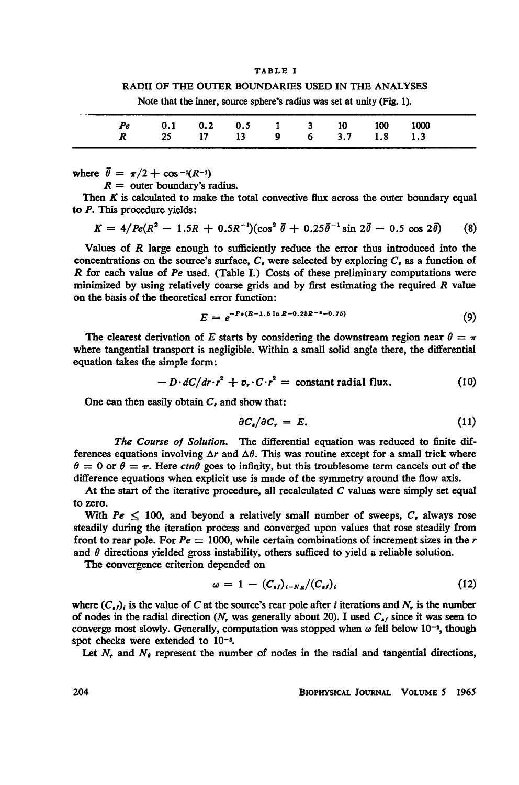#### TABLE <sup>I</sup>

## RADII OF THE OUTER BOUNDARIES USED IN THE ANALYSES

| Note that the inner, source sphere's radius was set at unity (Fig. 1). |  |  |  |
|------------------------------------------------------------------------|--|--|--|
|------------------------------------------------------------------------|--|--|--|

| Pe 0.1 0.2 0.5 1 3 10 100 1000<br>R 25 17 13 9 6 3.7 1.8 1.3 |  |  |  |  |
|--------------------------------------------------------------|--|--|--|--|
|                                                              |  |  |  |  |

where  $\bar{\theta} = \pi/2 + \cos^{-1}(R^{-1})$ 

 $R =$  outer boundary's radius.

Then  $K$  is calculated to make the total convective flux across the outer boundary equal to P. This procedure yields:

$$
K = 4/Pe(R^2 - 1.5R + 0.5R^{-1})(\cos^2 \bar{\theta} + 0.25\bar{\theta}^{-1}\sin 2\bar{\theta} - 0.5\cos 2\bar{\theta})
$$
 (8)

Values of  *large enough to sufficiently reduce the error thus introduced into the* concentrations on the source's surface,  $C<sub>s</sub>$  were selected by exploring  $C<sub>s</sub>$  as a function of  $R$  for each value of  $Pe$  used. (Table I.) Costs of these preliminary computations were minimized by using relatively coarse grids and by first estimating the required R value on the basis of the theoretical error function:

$$
E = e^{-P_s(R-1.5 \ln R - 0.25R^{-s}-0.75)}
$$
\n(9)

The clearest derivation of E starts by considering the downstream region near  $\theta = \pi$ where tangential transport is negligible. Within a small solid angle there, the differential equation takes the simple form:

$$
-D \cdot dC/dr \cdot r^2 + v_r \cdot C \cdot r^2 = \text{constant radial flux.} \tag{10}
$$

One can then easily obtain  $C<sub>t</sub>$  and show that:

$$
\partial C_{\bullet}/\partial C_{r} = E. \tag{11}
$$

The Course of Solution. The differential equation was reduced to finite differences equations involving  $\Delta r$  and  $\Delta \theta$ . This was routine except for a small trick where  $\theta = 0$  or  $\theta = \pi$ . Here ctn $\theta$  goes to infinity, but this troublesome term cancels out of the difference equations when explicit use is made of the symmetry around the flow axis.

At the start of the iterative procedure, all recalculated  $C$  values were simply set equal to zero.

With  $Pe < 100$ , and beyond a relatively small number of sweeps,  $C<sub>r</sub>$  always rose steadily during the iteration process and converged upon values that rose steadily from front to rear pole. For  $Pe = 1000$ , while certain combinations of increment sizes in the r and  $\theta$  directions yielded gross instability, others sufficed to yield a reliable solution.

The convergence criterion depended on

$$
\omega = 1 - (C_{\epsilon f})_{i-N_B}/(C_{\epsilon f})_i \tag{12}
$$

where  $(C_{\bullet}f)$  is the value of C at the source's rear pole after *i* iterations and N<sub>r</sub> is the number of nodes in the radial direction (N, was generally about 20). I used  $C_{\bullet}$  since it was seen to converge most slowly. Generally, computation was stopped when  $\omega$  fell below 10<sup>-2</sup>, though spot checks were extended to 10<sup>-3</sup>.

Let  $N_r$ , and  $N_\theta$  represent the number of nodes in the radial and tangential directions,

204 BIOPHYSICAL JoURNAL VOLUME <sup>5</sup> 1965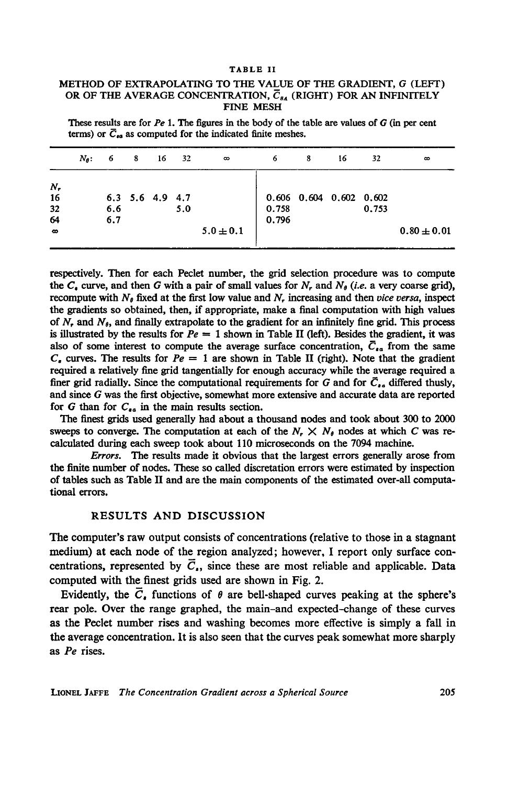#### TABLE II

# METHOD OF EXTRAPOLATING TO THE VALUE OF THE GRADIENT, G (LEFT) OR OF THE AVERAGE CONCENTRATION,  $\overline{C}_{g_A}$  (RIGHT) FOR AN INFINITELY FINE MESH

These results are for  $Pe 1$ . The figures in the body of the table are values of G (in per cent terms) or  $\overline{C}_{\epsilon\alpha}$  as computed for the indicated finite meshes.

|                                       | $N_{\theta}$ : | 6          | 8 | 16                      | 32  | $\infty$      | 6              | 8 | 16                              | 32    | $\infty$        |
|---------------------------------------|----------------|------------|---|-------------------------|-----|---------------|----------------|---|---------------------------------|-------|-----------------|
| $N_{r}$<br>16<br>32<br>64<br>$\infty$ |                | 6.6<br>6.7 |   | $6.3$ $5.6$ $4.9$ $4.7$ | 5.0 | $5.0 \pm 0.1$ | 0.758<br>0.796 |   | $0.606$ $0.604$ $0.602$ $0.602$ | 0.753 | $0.80 \pm 0.01$ |

respectively. Then for each Peclet number, the grid selection procedure was to compute the  $C_{\epsilon}$  curve, and then G with a pair of small values for N, and N<sub>o</sub> (i.e. a very coarse grid), recompute with  $N_{\theta}$  fixed at the first low value and N, increasing and then *vice versa*, inspect the gradients so obtained, then, if appropriate, make a final computation with high values of  $N_r$ , and  $N_\theta$ , and finally extrapolate to the gradient for an infinitely fine grid. This process is illustrated by the results for  $Pe = 1$  shown in Table II (left). Besides the gradient, it was also of some interest to compute the average surface concentration,  $\bar{C}_{\epsilon a}$  from the same  $C<sub>r</sub>$  curves. The results for  $Pe = 1$  are shown in Table II (right). Note that the gradient required a relatively fine grid tangentially for enough accuracy while the average required a finer grid radially. Since the computational requirements for G and for  $\bar{C}_{a}$  differed thusly, and since G was the first objective, somewhat more extensive and accurate data are reported for G than for  $C_{\epsilon a}$  in the main results section.

The finest grids used generally had about a thousand nodes and took about 300 to 2000 sweeps to converge. The computation at each of the  $N_r \times N_\theta$  nodes at which C was recalculated during each sweep took about 110 microseconds on the 7094 machine.

Errors. The results made it obvious that the largest errors generally arose from the finite number of nodes. These so called discretation errors were estimated by inspection of tables such as Table II and are the main components of the estimated over-all computational errors.

# RESULTS AND DISCUSSION

The computer's raw output consists of concentrations (relative to those in a stagnant medium) at each node of the region analyzed; however, <sup>I</sup> report only surface concentrations, represented by  $\overline{C}_n$ , since these are most reliable and applicable. Data computed with the finest grids used are shown in Fig. 2.

Evidently, the  $\overline{C}_n$  functions of  $\theta$  are bell-shaped curves peaking at the sphere's rear pole. Over the range graphed, the main-and expected-change of these curves as the Peclet number rises and washing becomes more effective is simply a fall in the average concentration. It is also seen that the curves peak somewhat more sharply as Pe rises.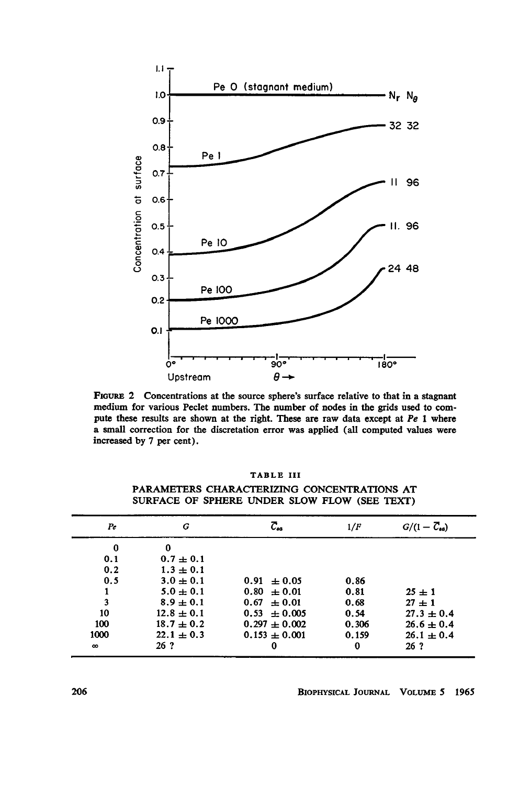

FIGURE 2 Concentrations at the source sphere's surface relative to that in a stagnant medium for various Peclet numbers. The number of nodes in the grids used to compute these results are shown at the right. These are raw data except at  $Pe$  1 where a small correction for the discretation error was applied (all computed values were increased by 7 per cent).

| <b>ABL</b><br>1 I I |  |
|---------------------|--|
|---------------------|--|

| $_{\mathit{Pe}}$ | G              | С.,               | 1/F      | $G/(1-\overline{C}_{aa})$ |
|------------------|----------------|-------------------|----------|---------------------------|
| 0                | 0              |                   |          |                           |
| 0.1              | $0.7 \pm 0.1$  |                   |          |                           |
| 0.2              | $1.3 \pm 0.1$  |                   |          |                           |
| 0.5              | $3.0 \pm 0.1$  | $0.91 \pm 0.05$   | 0.86     |                           |
|                  | $5.0 \pm 0.1$  | $0.80 \pm 0.01$   | 0.81     | $25 \pm 1$                |
| 3                | $8.9 \pm 0.1$  | $0.67 \pm 0.01$   | 0.68     | $27 + 1$                  |
| 10               | $12.8 \pm 0.1$ | $0.53 \pm 0.005$  | 0.54     | $27.3 \pm 0.4$            |
| 100              | $18.7 \pm 0.2$ | $0.297 \pm 0.002$ | 0.306    | $26.6 \pm 0.4$            |
| 1000             | $22.1 \pm 0.3$ | $0.153 \pm 0.001$ | 0.159    | $26.1 \pm 0.4$            |
| $\infty$         | 26 ?           | 0                 | $\bf{0}$ | 26 <sub>7</sub>           |

PARAMETERS CHARACTERIZING CONCENTRATIONS AT SURFACE OF SPHERE UNDER SLOW FLOW (SEE TEXT)

BIOPHYSICAL JOURNAL VOLUME 5 1965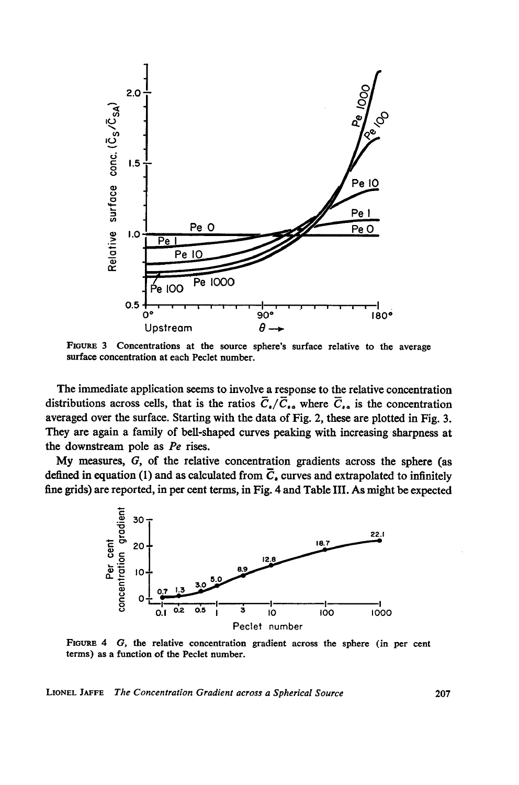

FIGURE <sup>3</sup> Concentrations at the source sphere's surface relative to the average surface concentration at each Peclet number.

The immediate application seems to involve a response to the relative concentration distributions across cells, that is the ratios  $\overline{C}_{\bullet}/\overline{C}_{\bullet \bullet}$  where  $\overline{C}_{\bullet \bullet}$  is the concentration averaged over the surface. Starting with the data of Fig. 2, these are plotted in Fig. 3. They are again a family of bell-shaped curves peaking with increasing sharpness at the downstream pole as Pe rises.

My measures, G, of the relative concentration gradients across the sphere (as defined in equation (1) and as calculated from  $\overline{C}_4$  curves and extrapolated to infinitely fine grids) are reported, in per cent terms, in Fig. 4 and Table III. As might be expected



FIGURE 4 G, the relative concentration gradient across the sphere (in per cent terms) as a function of the Peclet number.

LIONEL JAFFE The Concentration Gradient across a Spherical Source 207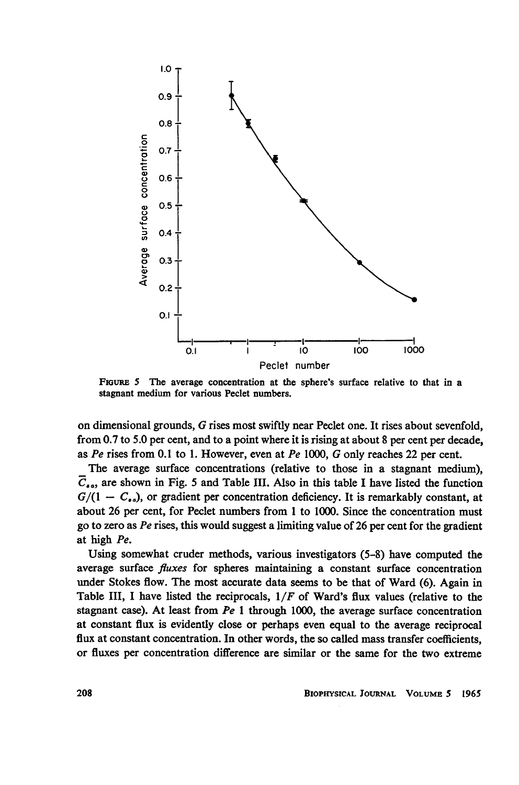

FIGURE 5 The average concentration at the sphere's surface relative to that in a stagnant medium for various Peclet numbers.

on dimensional grounds, G rises most swiftly near Peclet one. It rises about sevenfold, from 0.7 to 5.0 per cent, and to a point where it is rising at about 8 per cent per decade, as Pe rises from 0.1 to 1. However, even at Pe 1000, G only reaches 22 per cent.

The average surface concentrations (relative to those in a stagnant medium),  $\overline{C}_{\epsilon a}$ , are shown in Fig. 5 and Table III. Also in this table I have listed the function  $G/(1 - C_{\epsilon_0})$ , or gradient per concentration deficiency. It is remarkably constant, at about 26 per cent, for Peclet numbers from <sup>1</sup> to 1000. Since the concentration must go to zero as Pe rises, this would suggest a limiting value of 26 per cent for the gradient at high Pe.

Using somewhat cruder methods, various investigators (5-8) have computed the average surface fluxes for spheres maintaining a constant surface concentration under Stokes flow. The most accurate data seems to be that of Ward (6). Again in Table III, I have listed the reciprocals,  $1/F$  of Ward's flux values (relative to the stagnant case). At least from  $Pe$  1 through 1000, the average surface concentration at constant flux is evidently close or perhaps even equal to the average reciprocal flux at constant concentration. In other words, the so called mass transfer coefficients, or fluxes per concentration difference are similar or the same for the two extreme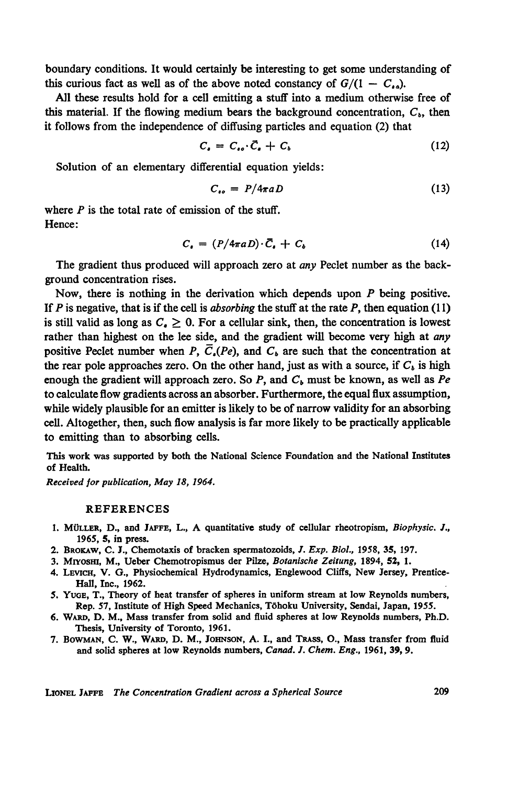boundary conditions. It would certainly be interesting to get some understanding of this curious fact as well as of the above noted constancy of  $G/(1 - C_{\alpha})$ .

All these results hold for a cell emitting a stuff into a medium otherwise free of this material. If the flowing medium bears the background concentration,  $C<sub>b</sub>$ , then it follows from the independence of diffusing particles and equation (2) that

$$
C_{\bullet} = C_{\bullet \bullet} \cdot \vec{C}_{\bullet} + C_{\bullet} \tag{12}
$$

Solution of an elementary differential equation yields:

$$
C_{so} = P/4\pi a D \tag{13}
$$

where  $P$  is the total rate of emission of the stuff. Hence:

$$
C_{\bullet} = (P/4\pi a D) \cdot \bar{C}_{\bullet} + C_{b} \qquad (14)
$$

The gradient thus produced will approach zero at *any* Peclet number as the background concentration rises.

Now, there is nothing in the derivation which depends upon  $P$  being positive. If P is negative, that is if the cell is *absorbing* the stuff at the rate P, then equation (11) is still valid as long as  $C_e \geq 0$ . For a cellular sink, then, the concentration is lowest rather than highest on the lee side, and the gradient will become very high at any positive Peclet number when P,  $\overline{C}_n(Pe)$ , and  $C_b$  are such that the concentration at the rear pole approaches zero. On the other hand, just as with a source, if  $C<sub>b</sub>$  is high enough the gradient will approach zero. So  $P$ , and  $C<sub>b</sub>$  must be known, as well as Pe to calculate flow gradients across an absorber. Furthermore, the equal flux assumption, while widely plausible for an emitter is likely to be of narrow validity for an absorbing cell. Altogether, then, such flow analysis is far more likely to be practically applicable to emitting than to absorbing cells.

This work was supported by both the National Science Foundation and the National Institutes of Health.

Received for publication, May 18, 1964.

## REFERENCES

- 1. MULLER, D., and JAFFE, L., A quantitative study of cellular rheotropism, Biophysic. J., 1965, 5, in press.
- 2. BROKAW, C. J., Chemotaxis of bracken spermatozoids, J. Exp. Biol., 1958, 35, 197.
- 3. Miyosm, M., Ueber Chemotropismus der Pilze, Botanische Zeitung, 1894, 52, 1.
- 4. LEVICH, V. G., Physiochemical Hydrodynamics, Englewood Cliffs, New Jersey, Prentice-Hall, Inc., 1962.
- 5. YUGE, T., Theory of heat transfer of spheres in uniform stream at low Reynolds numbers, Rep. 57, Institute of High Speed Mechanics, T6hoku University, Sendai, Japan, 1955.
- 6. WARD, D. M., Mass transfer from solid and fluid spheres at low Reynolds numbers, Ph.D. Thesis, University of Toronto, 1961.
- 7. BOWMAN, C. W., WARD, D. M., JOHNsON, A. I., and TRAss, O., Mass transfer from fluid and solid spheres at low Reynolds numbers, Canad. J. Chem. Eng., 1961, 39, 9.

LIONEL JAFFE The Concentration Gradient across a Spherical Source 209